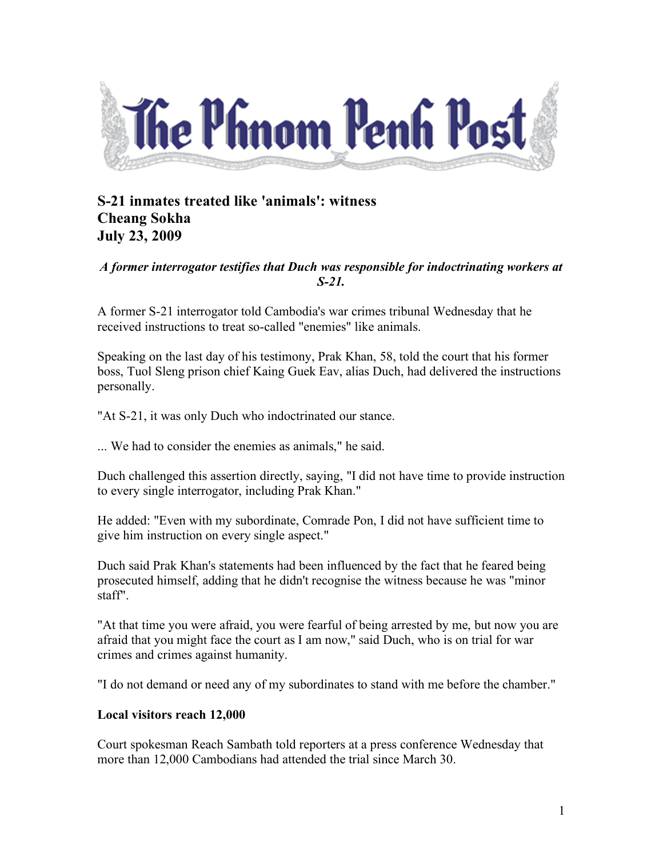

## **S-21 inmates treated like 'animals': witness Cheang Sokha July 23, 2009**

## *A former interrogator testifies that Duch was responsible for indoctrinating workers at S-21.*

A former S-21 interrogator told Cambodia's war crimes tribunal Wednesday that he received instructions to treat so-called "enemies" like animals.

Speaking on the last day of his testimony, Prak Khan, 58, told the court that his former boss, Tuol Sleng prison chief Kaing Guek Eav, alias Duch, had delivered the instructions personally.

"At S-21, it was only Duch who indoctrinated our stance.

... We had to consider the enemies as animals," he said.

Duch challenged this assertion directly, saying, "I did not have time to provide instruction to every single interrogator, including Prak Khan."

He added: "Even with my subordinate, Comrade Pon, I did not have sufficient time to give him instruction on every single aspect."

Duch said Prak Khan's statements had been influenced by the fact that he feared being prosecuted himself, adding that he didn't recognise the witness because he was "minor staff".

"At that time you were afraid, you were fearful of being arrested by me, but now you are afraid that you might face the court as I am now," said Duch, who is on trial for war crimes and crimes against humanity.

"I do not demand or need any of my subordinates to stand with me before the chamber."

## **Local visitors reach 12,000**

Court spokesman Reach Sambath told reporters at a press conference Wednesday that more than 12,000 Cambodians had attended the trial since March 30.